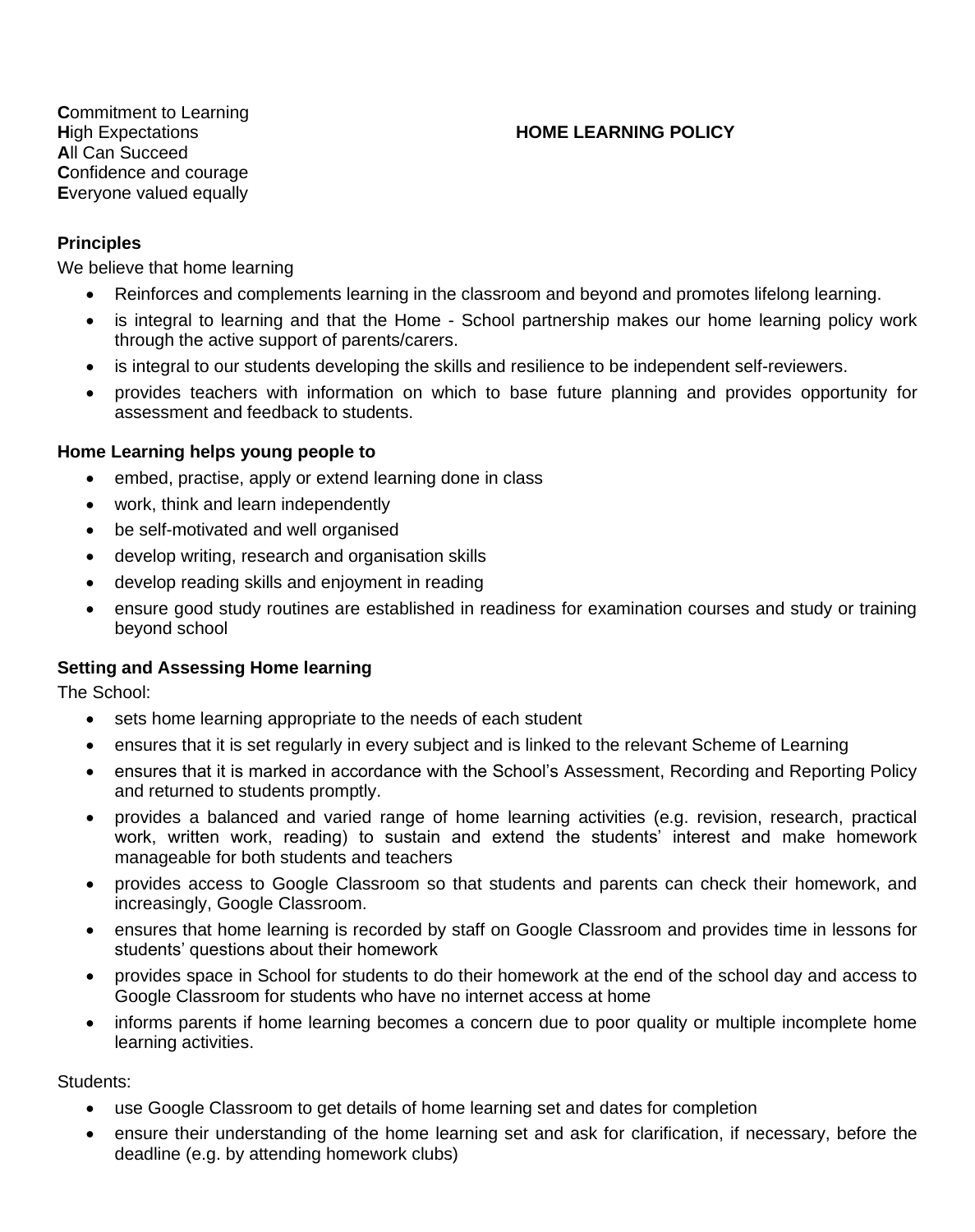**C**ommitment to Learning **A**ll Can Succeed **C**onfidence and courage **E**veryone valued equally

### **H**igh Expectations **HOME LEARNING POLICY**

#### **Principles**

We believe that home learning

- Reinforces and complements learning in the classroom and beyond and promotes lifelong learning.
- is integral to learning and that the Home School partnership makes our home learning policy work through the active support of parents/carers.
- is integral to our students developing the skills and resilience to be independent self-reviewers.
- provides teachers with information on which to base future planning and provides opportunity for assessment and feedback to students.

#### **Home Learning helps young people to**

- embed, practise, apply or extend learning done in class
- work, think and learn independently
- be self-motivated and well organised
- develop writing, research and organisation skills
- develop reading skills and enjoyment in reading
- ensure good study routines are established in readiness for examination courses and study or training beyond school

### **Setting and Assessing Home learning**

The School:

- sets home learning appropriate to the needs of each student
- ensures that it is set regularly in every subject and is linked to the relevant Scheme of Learning
- ensures that it is marked in accordance with the School's Assessment, Recording and Reporting Policy and returned to students promptly.
- provides a balanced and varied range of home learning activities (e.g. revision, research, practical work, written work, reading) to sustain and extend the students' interest and make homework manageable for both students and teachers
- provides access to Google Classroom so that students and parents can check their homework, and increasingly, Google Classroom.
- ensures that home learning is recorded by staff on Google Classroom and provides time in lessons for students' questions about their homework
- provides space in School for students to do their homework at the end of the school day and access to Google Classroom for students who have no internet access at home
- informs parents if home learning becomes a concern due to poor quality or multiple incomplete home learning activities.

Students:

- use Google Classroom to get details of home learning set and dates for completion
- ensure their understanding of the home learning set and ask for clarification, if necessary, before the deadline (e.g. by attending homework clubs)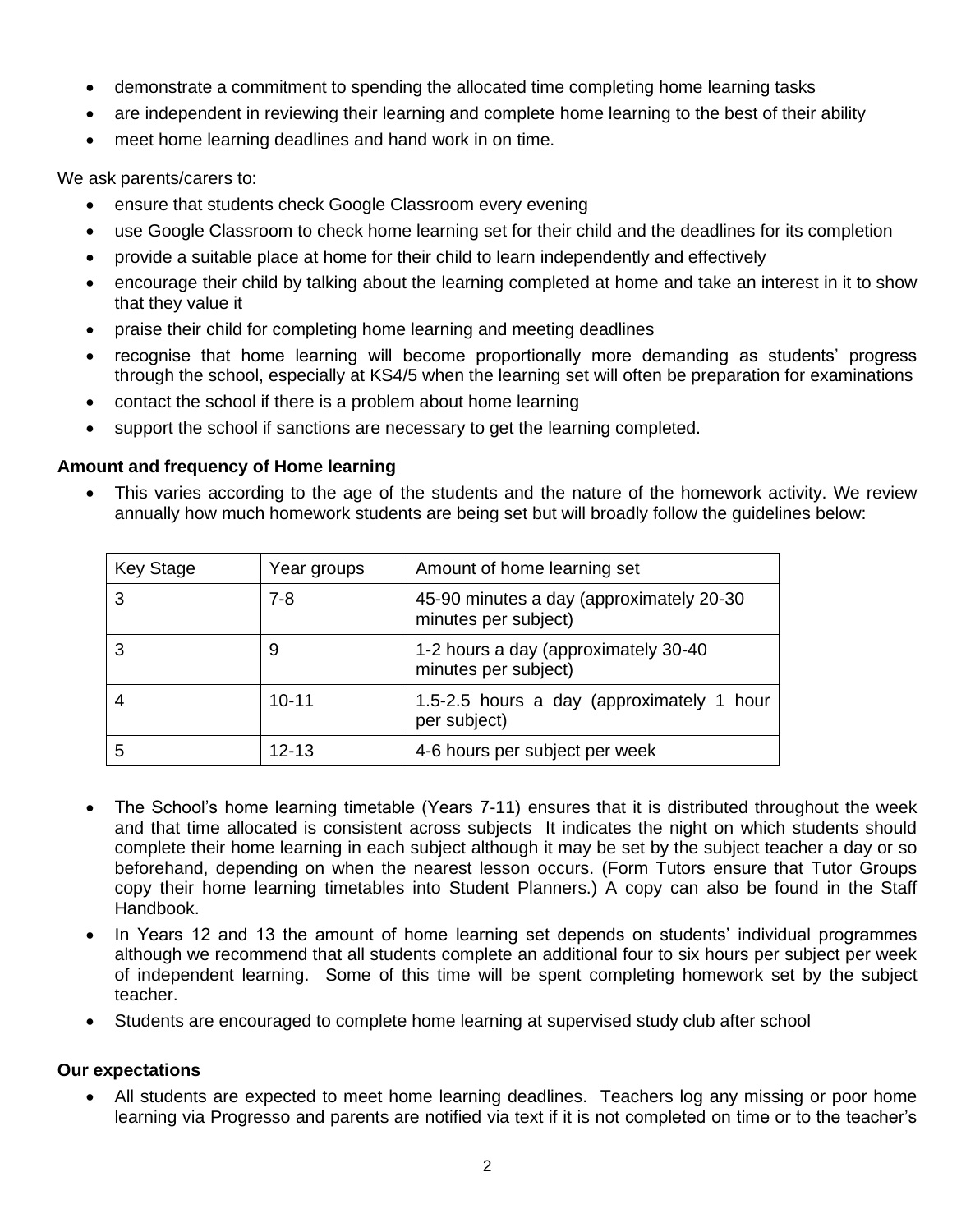- demonstrate a commitment to spending the allocated time completing home learning tasks
- are independent in reviewing their learning and complete home learning to the best of their ability
- meet home learning deadlines and hand work in on time.

We ask parents/carers to:

- ensure that students check Google Classroom every evening
- use Google Classroom to check home learning set for their child and the deadlines for its completion
- provide a suitable place at home for their child to learn independently and effectively
- encourage their child by talking about the learning completed at home and take an interest in it to show that they value it
- praise their child for completing home learning and meeting deadlines
- recognise that home learning will become proportionally more demanding as students' progress through the school, especially at KS4/5 when the learning set will often be preparation for examinations
- contact the school if there is a problem about home learning
- support the school if sanctions are necessary to get the learning completed.

### **Amount and frequency of Home learning**

• This varies according to the age of the students and the nature of the homework activity. We review annually how much homework students are being set but will broadly follow the guidelines below:

| <b>Key Stage</b> | Year groups | Amount of home learning set                                      |
|------------------|-------------|------------------------------------------------------------------|
|                  | $7 - 8$     | 45-90 minutes a day (approximately 20-30<br>minutes per subject) |
|                  | 9           | 1-2 hours a day (approximately 30-40<br>minutes per subject)     |
|                  | $10 - 11$   | 1.5-2.5 hours a day (approximately 1 hour<br>per subject)        |
| 5                | $12 - 13$   | 4-6 hours per subject per week                                   |

- The School's home learning timetable (Years 7-11) ensures that it is distributed throughout the week and that time allocated is consistent across subjects It indicates the night on which students should complete their home learning in each subject although it may be set by the subject teacher a day or so beforehand, depending on when the nearest lesson occurs. (Form Tutors ensure that Tutor Groups copy their home learning timetables into Student Planners.) A copy can also be found in the Staff Handbook.
- In Years 12 and 13 the amount of home learning set depends on students' individual programmes although we recommend that all students complete an additional four to six hours per subject per week of independent learning. Some of this time will be spent completing homework set by the subject teacher.
- Students are encouraged to complete home learning at supervised study club after school

# **Our expectations**

• All students are expected to meet home learning deadlines. Teachers log any missing or poor home learning via Progresso and parents are notified via text if it is not completed on time or to the teacher's